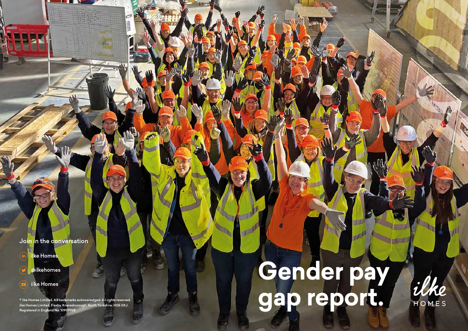Join in the conversation





 $\left( \blacksquare \right)$ ilke Homes

 $\textcolor{red}{\bullet}$  ilke Homes Limited. All trademarks acknowledged. All rights reserved. ilke Homes Limited, Flaxby, Knaresborough, North Yorkshire, HG5 0XJ. Registered in England No. 10909968

# **Gender pay gap report.**



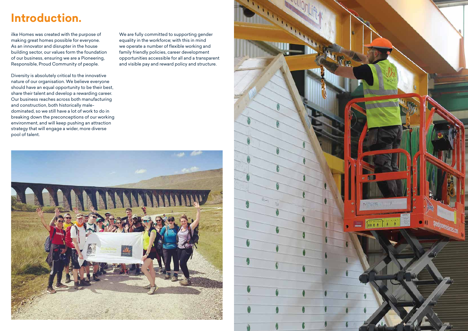## **Introduction.**

ilke Homes was created with the purpose of making great homes possible for everyone. As an innovator and disrupter in the house building sector, our values form the foundation of our business, ensuring we are a Pioneering, Responsible, Proud Community of people.

Diversity is absolutely critical to the innovative nature of our organisation. We believe everyone should have an equal opportunity to be their best, share their talent and develop a rewarding career. Our business reaches across both manufacturing and construction, both historically maledominated, so we still have a lot of work to do in breaking down the preconceptions of our working environment, and will keep pushing an attraction strategy that will engage a wider, more diverse pool of talent.

We are fully committed to supporting gender equality in the workforce; with this in mind we operate a number of flexible working and family friendly policies, career development opportunities accessible for all and a transparent and visible pay and reward policy and structure.



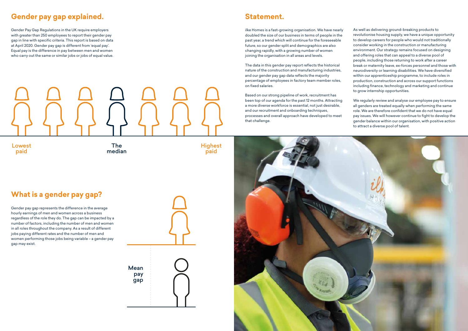#### **Gender pay gap explained.**

Gender Pay Gap Regulations in the UK require employers with greater than 250 employees to report their gender pay gap in line with specific criteria. This report is based on data at April 2020. Gender pay gap is different from 'equal pay'. Equal pay is the difference in pay between men and women who carry out the same or similar jobs or jobs of equal value.

### **What is a gender pay gap?**

Gender pay gap represents the difference in the average hourly earnings of men and women across a business regardless of the role they do. The gap can be impacted by a number of factors, including the number of men and women in all roles throughout the company. As a result of different jobs paying different rates and the number of men and women performing those jobs being variable – a gender pay gap may exist.

#### **Statement.**

ilke Homes is a fast-growing organisation. We have nearly doubled the size of our business in terms of people in the past year, a trend which will continue for the foreseeable future, so our gender split and demographics are also changing rapidly, with a growing number of women joining the organisation in all areas and levels.

The data in this gender pay report reflects the historical nature of the construction and manufacturing industries, and our gender pay gap data reflects the majority percentage of employees in factory team member roles, on fixed salaries.

Based on our strong pipeline of work, recruitment has been top of our agenda for the past 12 months. Attracting a more diverse workforce is essential, not just desirable, and our recruitment and onboarding techniques, processes and overall approach have developed to meet that challenge.



As well as delivering ground-breaking products to revolutionise housing supply, we have a unique opportunity to develop careers for people who would not traditionally consider working in the construction or manufacturing environment. Our strategy remains focused on designing and offering roles that can appeal to a diverse pool of people, including those returning to work after a career break or maternity leave, ex-forces personnel and those with neurodiversity or learning disabilities. We have diversified within our apprenticeship programme, to include roles in production, construction and across our support functions including finance, technology and marketing and continue to grow internship opportunities.

We regularly review and analyse our employee pay to ensure all genders are treated equally when performing the same role. We are therefore confident that we do not have equal pay issues. We will however continue to fight to develop the gender balance within our organisation, with positive action to attract a diverse pool of talent.



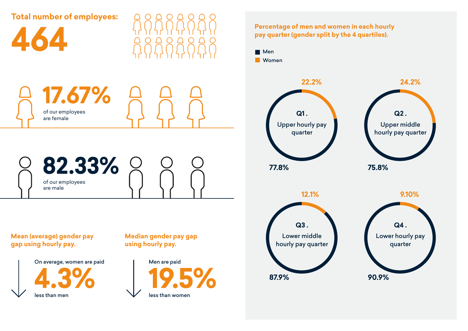

**Mean (average) gender pay gap using hourly pay.**

**Percentage of men and women in each hourly pay quarter (gender split by the 4 quartiles).**

**17.67%** of our employees are female

**82.33%** of our employees are male

> **Median gender pay gap using hourly pay.**









**Total number of employees:**

**464**